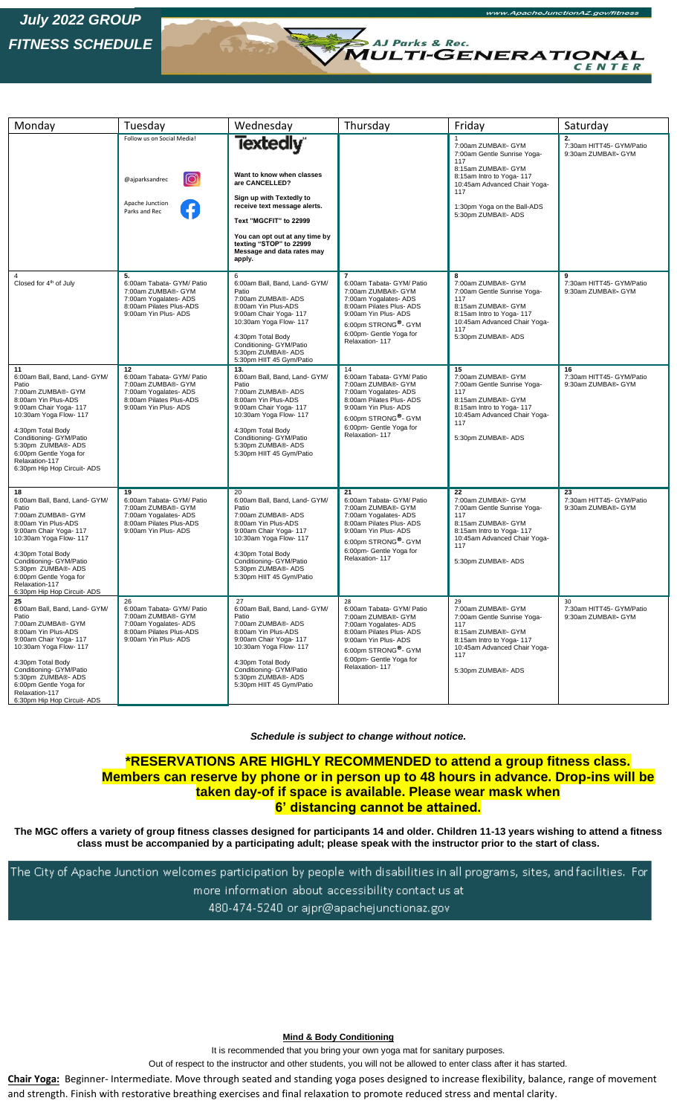## *July 2022 GROUP FITNESS SCHEDULE*

 $\overline{a}$ 

| Monday                                                                                                                                                                                                                                                                                         | Tuesday                                                                                                                           | Wednesday                                                                                                                                                                                                                                          | Thursday                                                                                                                                                                                                                        | Friday                                                                                                                                                                                                 | Saturday                                             |
|------------------------------------------------------------------------------------------------------------------------------------------------------------------------------------------------------------------------------------------------------------------------------------------------|-----------------------------------------------------------------------------------------------------------------------------------|----------------------------------------------------------------------------------------------------------------------------------------------------------------------------------------------------------------------------------------------------|---------------------------------------------------------------------------------------------------------------------------------------------------------------------------------------------------------------------------------|--------------------------------------------------------------------------------------------------------------------------------------------------------------------------------------------------------|------------------------------------------------------|
|                                                                                                                                                                                                                                                                                                | Follow us on Social Media!<br>ത്ര<br>@ajparksandrec<br>Apache Junction<br>Parks and Rec                                           | Textedly<br>Want to know when classes<br>are CANCELLED?<br>Sign up with Textedly to<br>receive text message alerts.<br>Text "MGCFIT" to 22999<br>You can opt out at any time by<br>texting "STOP" to 22999<br>Message and data rates may<br>apply. |                                                                                                                                                                                                                                 | 7:00am ZUMBA®- GYM<br>7:00am Gentle Sunrise Yoga-<br>117<br>8:15am ZUMBA®- GYM<br>8:15am Intro to Yoga-117<br>10:45am Advanced Chair Yoga-<br>117<br>1:30pm Yoga on the Ball-ADS<br>5:30pm ZUMBA®- ADS | 2.<br>7:30am HITT45- GYM/Patio<br>9:30am ZUMBA®- GYM |
| 4<br>Closed for 4 <sup>th</sup> of July                                                                                                                                                                                                                                                        | 5.<br>6:00am Tabata- GYM/ Patio<br>7:00am ZUMBA®- GYM<br>7:00am Yogalates- ADS<br>8:00am Pilates Plus-ADS<br>9:00am Yin Plus- ADS | 6<br>6:00am Ball, Band, Land- GYM/<br>Patio<br>7:00am ZUMBA®- ADS<br>8:00am Yin Plus-ADS<br>9:00am Chair Yoga- 117<br>10:30am Yoga Flow- 117<br>4:30pm Total Body<br>Conditioning- GYM/Patio<br>5:30pm ZUMBA®- ADS<br>5:30pm HIIT 45 Gym/Patio     | $\overline{7}$<br>6:00am Tabata- GYM/ Patio<br>7:00am ZUMBA®- GYM<br>7:00am Yogalates- ADS<br>8:00am Pilates Plus- ADS<br>9:00am Yin Plus- ADS<br>6:00pm STRONG <sup>®</sup> - GYM<br>6:00pm- Gentle Yoga for<br>Relaxation-117 | 8<br>7:00am ZUMBA®- GYM<br>7:00am Gentle Sunrise Yoga-<br>117<br>8:15am ZUMBA®- GYM<br>8:15am Intro to Yoga-117<br>10:45am Advanced Chair Yoga-<br>117<br>5:30pm ZUMBA®- ADS                           | 9<br>7:30am HITT45- GYM/Patio<br>9:30am ZUMBA®- GYM  |
| 11<br>6:00am Ball, Band, Land- GYM/<br>Patio<br>7:00am ZUMBA®- GYM<br>8:00am Yin Plus-ADS<br>9:00am Chair Yoga- 117<br>10:30am Yoga Flow- 117<br>4:30pm Total Body<br>Conditioning- GYM/Patio<br>5:30pm ZUMBA®- ADS<br>6:00pm Gentle Yoga for<br>Relaxation-117<br>6:30pm Hip Hop Circuit-ADS  | 12<br>6:00am Tabata- GYM/ Patio<br>7:00am ZUMBA®- GYM<br>7:00am Yogalates- ADS<br>8:00am Pilates Plus-ADS<br>9:00am Yin Plus- ADS | 13.<br>6:00am Ball, Band, Land- GYM/<br>Patio<br>7:00am ZUMBA®- ADS<br>8:00am Yin Plus-ADS<br>9:00am Chair Yoga- 117<br>10:30am Yoga Flow- 117<br>4:30pm Total Body<br>Conditioning- GYM/Patio<br>5:30pm ZUMBA®- ADS<br>5:30pm HIIT 45 Gym/Patio   | 14<br>6:00am Tabata- GYM/ Patio<br>7:00am ZUMBA®- GYM<br>7:00am Yogalates- ADS<br>8:00am Pilates Plus-ADS<br>9:00am Yin Plus- ADS<br>6:00pm STRONG <sup>®</sup> - GYM<br>6:00pm- Gentle Yoga for<br>Relaxation-117              | 15<br>7:00am ZUMBA®- GYM<br>7:00am Gentle Sunrise Yoga-<br>117<br>8:15am ZUMBA®- GYM<br>8:15am Intro to Yoga-117<br>10:45am Advanced Chair Yoga-<br>117<br>5:30pm ZUMBA®- ADS                          | 16<br>7:30am HITT45- GYM/Patio<br>9:30am ZUMBA®- GYM |
| 18<br>6:00am Ball, Band, Land- GYM/<br>Patio<br>7:00am ZUMBA®- GYM<br>8:00am Yin Plus-ADS<br>9:00am Chair Yoga- 117<br>10:30am Yoga Flow- 117<br>4:30pm Total Body<br>Conditioning- GYM/Patio<br>5:30pm ZUMBA®- ADS<br>6:00pm Gentle Yoga for<br>Relaxation-117<br>6:30pm Hip Hop Circuit- ADS | 19<br>6:00am Tabata- GYM/ Patio<br>7:00am ZUMBA®- GYM<br>7:00am Yogalates- ADS<br>8:00am Pilates Plus-ADS<br>9:00am Yin Plus- ADS | 20<br>6:00am Ball, Band, Land- GYM/<br>Patio<br>7:00am ZUMBA®- ADS<br>8:00am Yin Plus-ADS<br>9:00am Chair Yoga- 117<br>10:30am Yoga Flow- 117<br>4:30pm Total Body<br>Conditioning- GYM/Patio<br>5:30pm ZUMBA®- ADS<br>5:30pm HIIT 45 Gym/Patio    | 21<br>6:00am Tabata- GYM/ Patio<br>7:00am ZUMBA®- GYM<br>7:00am Yogalates- ADS<br>8:00am Pilates Plus- ADS<br>9:00am Yin Plus- ADS<br>6:00pm STRONG <sup>®</sup> - GYM<br>6:00pm- Gentle Yoga for<br>Relaxation-117             | 22<br>7:00am ZUMBA®- GYM<br>7:00am Gentle Sunrise Yoga-<br>117<br>8:15am ZUMBA®- GYM<br>8:15am Intro to Yoga-117<br>10:45am Advanced Chair Yoga-<br>117<br>5:30pm ZUMBA®- ADS                          | 23<br>7:30am HITT45- GYM/Patio<br>9:30am ZUMBA®- GYM |
| 25<br>6:00am Ball, Band, Land- GYM/<br>Patio<br>7:00am ZUMBA®- GYM<br>8:00am Yin Plus-ADS<br>9:00am Chair Yoga- 117<br>10:30am Yoga Flow- 117<br>4:30pm Total Body<br>Conditioning- GYM/Patio<br>5:30pm ZUMBA®- ADS<br>6:00pm Gentle Yoga for<br>Relaxation-117<br>6:30pm Hip Hop Circuit-ADS  | 26<br>6:00am Tabata- GYM/ Patio<br>7:00am ZUMBA®- GYM<br>7:00am Yogalates- ADS<br>8:00am Pilates Plus-ADS<br>9:00am Yin Plus- ADS | 27<br>6:00am Ball, Band, Land- GYM/<br>Patio<br>7:00am ZUMBA®- ADS<br>8:00am Yin Plus-ADS<br>9:00am Chair Yoga- 117<br>10:30am Yoga Flow- 117<br>4:30pm Total Body<br>Conditioning- GYM/Patio<br>5:30pm ZUMBA®- ADS<br>5:30pm HIIT 45 Gym/Patio    | 28<br>6:00am Tabata- GYM/ Patio<br>7:00am ZUMBA®- GYM<br>7:00am Yogalates- ADS<br>8:00am Pilates Plus- ADS<br>9:00am Yin Plus- ADS<br>6:00pm STRONG <sup>®</sup> - GYM<br>6:00pm- Gentle Yoga for<br>Relaxation-117             | 29<br>7:00am ZUMBA®- GYM<br>7:00am Gentle Sunrise Yoga-<br>117<br>8:15am ZUMBA®- GYM<br>8:15am Intro to Yoga-117<br>10:45am Advanced Chair Yoga-<br>117<br>5:30pm ZUMBA®- ADS                          | 30<br>7:30am HITT45- GYM/Patio<br>9:30am ZUMBA®- GYM |

AJ Parks & Rec.<br>MULTI-GENERATIONAL

CENTER

*Schedule is subject to change without notice.*

**\*RESERVATIONS ARE HIGHLY RECOMMENDED to attend a group fitness class. Members can reserve by phone or in person up to 48 hours in advance. Drop-ins will be taken day-of if space is available. Please wear mask when 6' distancing cannot be attained.**

**The MGC offers a variety of group fitness classes designed for participants 14 and older. Children 11-13 years wishing to attend a fitness class must be accompanied by a participating adult; please speak with the instructor prior to the start of class.** 

The City of Apache Junction welcomes participation by people with disabilities in all programs, sites, and facilities. For more information about accessibility contact us at 480-474-5240 or ajpr@apachejunctionaz.gov

**Mind & Body Conditioning**

It is recommended that you bring your own yoga mat for sanitary purposes.

Out of respect to the instructor and other students, you will not be allowed to enter class after it has started.

**Chair Yoga:** Beginner- Intermediate. Move through seated and standing yoga poses designed to increase flexibility, balance, range of movement

and strength. Finish with restorative breathing exercises and final relaxation to promote reduced stress and mental clarity.